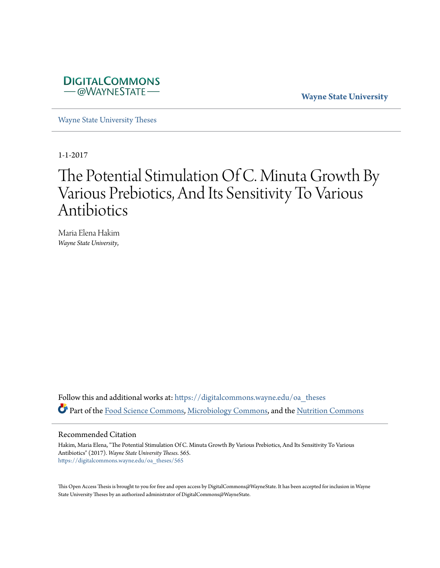

**Wayne State University**

[Wayne State University Theses](https://digitalcommons.wayne.edu/oa_theses?utm_source=digitalcommons.wayne.edu%2Foa_theses%2F565&utm_medium=PDF&utm_campaign=PDFCoverPages)

1-1-2017

# The Potential Stimulation Of C. Minuta Growth By Various Prebiotics, And Its Sensitivity To Various Antibiotics

Maria Elena Hakim *Wayne State University*,

Follow this and additional works at: [https://digitalcommons.wayne.edu/oa\\_theses](https://digitalcommons.wayne.edu/oa_theses?utm_source=digitalcommons.wayne.edu%2Foa_theses%2F565&utm_medium=PDF&utm_campaign=PDFCoverPages) Part of the [Food Science Commons](http://network.bepress.com/hgg/discipline/84?utm_source=digitalcommons.wayne.edu%2Foa_theses%2F565&utm_medium=PDF&utm_campaign=PDFCoverPages), [Microbiology Commons](http://network.bepress.com/hgg/discipline/48?utm_source=digitalcommons.wayne.edu%2Foa_theses%2F565&utm_medium=PDF&utm_campaign=PDFCoverPages), and the [Nutrition Commons](http://network.bepress.com/hgg/discipline/95?utm_source=digitalcommons.wayne.edu%2Foa_theses%2F565&utm_medium=PDF&utm_campaign=PDFCoverPages)

## Recommended Citation

Hakim, Maria Elena, "The Potential Stimulation Of C. Minuta Growth By Various Prebiotics, And Its Sensitivity To Various Antibiotics" (2017). *Wayne State University Theses*. 565. [https://digitalcommons.wayne.edu/oa\\_theses/565](https://digitalcommons.wayne.edu/oa_theses/565?utm_source=digitalcommons.wayne.edu%2Foa_theses%2F565&utm_medium=PDF&utm_campaign=PDFCoverPages)

This Open Access Thesis is brought to you for free and open access by DigitalCommons@WayneState. It has been accepted for inclusion in Wayne State University Theses by an authorized administrator of DigitalCommons@WayneState.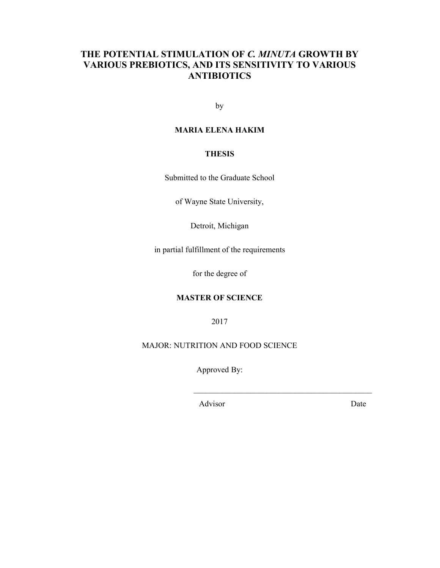# **THE POTENTIAL STIMULATION OF** *C. MINUTA* **GROWTH BY VARIOUS PREBIOTICS, AND ITS SENSITIVITY TO VARIOUS ANTIBIOTICS**

by

# **MARIA ELENA HAKIM**

# **THESIS**

Submitted to the Graduate School

of Wayne State University,

Detroit, Michigan

in partial fulfillment of the requirements

for the degree of

# **MASTER OF SCIENCE**

2017

MAJOR: NUTRITION AND FOOD SCIENCE

Approved By:

\_\_\_\_\_\_\_\_\_\_\_\_\_\_\_\_\_\_\_\_\_\_\_\_\_\_\_\_\_\_\_\_\_\_\_\_\_\_\_\_\_\_\_\_

Advisor Date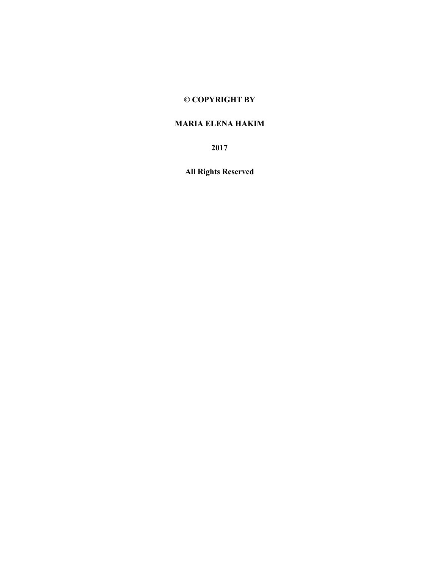# **© COPYRIGHT BY**

# **MARIA ELENA HAKIM**

**2017** 

**All Rights Reserved**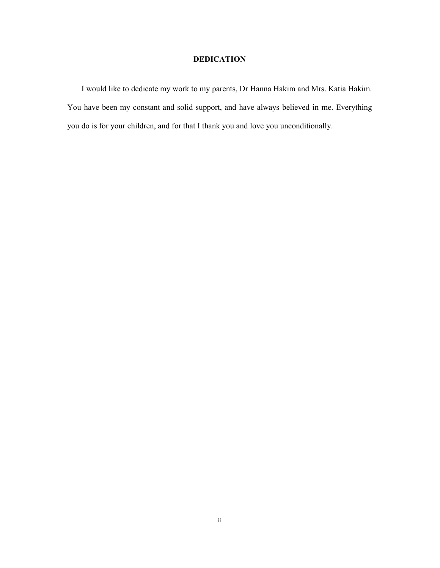# **DEDICATION**

I would like to dedicate my work to my parents, Dr Hanna Hakim and Mrs. Katia Hakim. You have been my constant and solid support, and have always believed in me. Everything you do is for your children, and for that I thank you and love you unconditionally.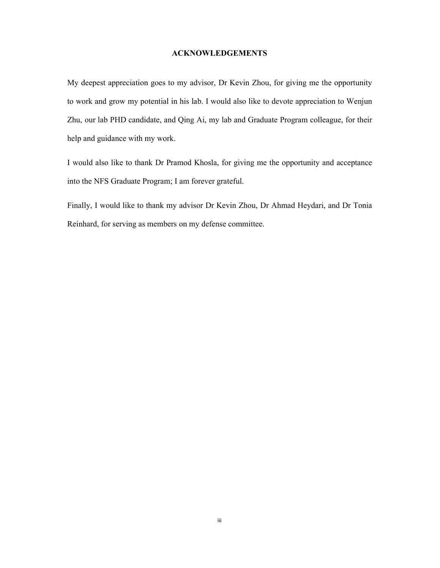# **ACKNOWLEDGEMENTS**

My deepest appreciation goes to my advisor, Dr Kevin Zhou, for giving me the opportunity to work and grow my potential in his lab. I would also like to devote appreciation to Wenjun Zhu, our lab PHD candidate, and Qing Ai, my lab and Graduate Program colleague, for their help and guidance with my work.

I would also like to thank Dr Pramod Khosla, for giving me the opportunity and acceptance into the NFS Graduate Program; I am forever grateful.

Finally, I would like to thank my advisor Dr Kevin Zhou, Dr Ahmad Heydari, and Dr Tonia Reinhard, for serving as members on my defense committee.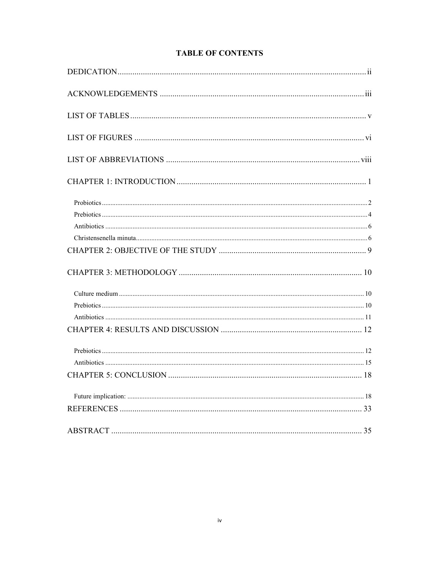# **TABLE OF CONTENTS**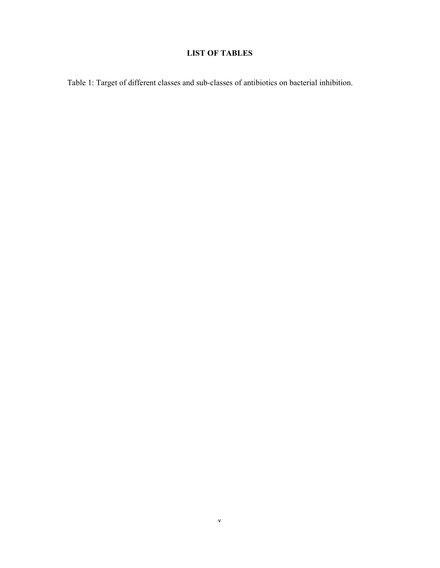# **LIST OF TABLES**

Table 1: Target of different classes and sub-classes of antibiotics on bacterial inhibition.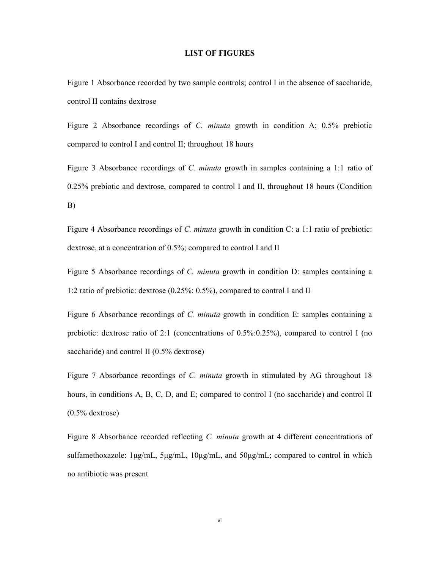## **LIST OF FIGURES**

Figure 1 Absorbance recorded by two sample controls; control I in the absence of saccharide, control II contains dextrose

Figure 2 Absorbance recordings of *C. minuta* growth in condition A; 0.5% prebiotic compared to control I and control II; throughout 18 hours

Figure 3 Absorbance recordings of *C. minuta* growth in samples containing a 1:1 ratio of 0.25% prebiotic and dextrose, compared to control I and II, throughout 18 hours (Condition B)

Figure 4 Absorbance recordings of *C. minuta* growth in condition C: a 1:1 ratio of prebiotic: dextrose, at a concentration of 0.5%; compared to control I and II

Figure 5 Absorbance recordings of *C. minuta* growth in condition D: samples containing a 1:2 ratio of prebiotic: dextrose (0.25%: 0.5%), compared to control I and II

Figure 6 Absorbance recordings of *C. minuta* growth in condition E: samples containing a prebiotic: dextrose ratio of 2:1 (concentrations of 0.5%:0.25%), compared to control I (no saccharide) and control II (0.5% dextrose)

Figure 7 Absorbance recordings of *C. minuta* growth in stimulated by AG throughout 18 hours, in conditions A, B, C, D, and E; compared to control I (no saccharide) and control II (0.5% dextrose)

Figure 8 Absorbance recorded reflecting *C. minuta* growth at 4 different concentrations of sulfamethoxazole: 1μg/mL, 5μg/mL, 10μg/mL, and 50μg/mL; compared to control in which no antibiotic was present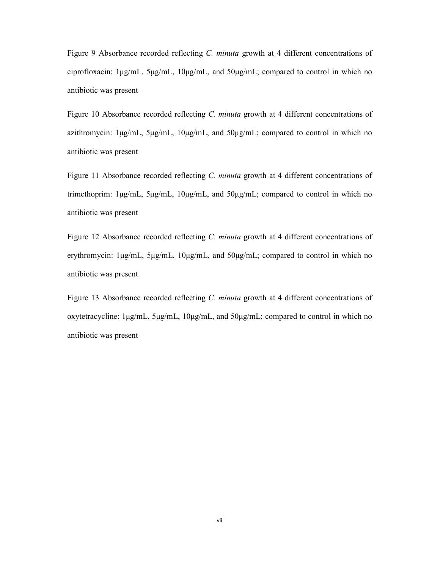Figure 9 Absorbance recorded reflecting *C. minuta* growth at 4 different concentrations of ciprofloxacin: 1μg/mL, 5μg/mL, 10μg/mL, and 50μg/mL; compared to control in which no antibiotic was present

Figure 10 Absorbance recorded reflecting *C. minuta* growth at 4 different concentrations of azithromycin: 1μg/mL, 5μg/mL, 10μg/mL, and 50μg/mL; compared to control in which no antibiotic was present

Figure 11 Absorbance recorded reflecting *C. minuta* growth at 4 different concentrations of trimethoprim:  $1\mu\text{g/mL}$ ,  $5\mu\text{g/mL}$ ,  $10\mu\text{g/mL}$ , and  $50\mu\text{g/mL}$ ; compared to control in which no antibiotic was present

Figure 12 Absorbance recorded reflecting *C. minuta* growth at 4 different concentrations of erythromycin: 1μg/mL, 5μg/mL, 10μg/mL, and 50μg/mL; compared to control in which no antibiotic was present

Figure 13 Absorbance recorded reflecting *C. minuta* growth at 4 different concentrations of oxytetracycline: 1μg/mL, 5μg/mL, 10μg/mL, and 50μg/mL; compared to control in which no antibiotic was present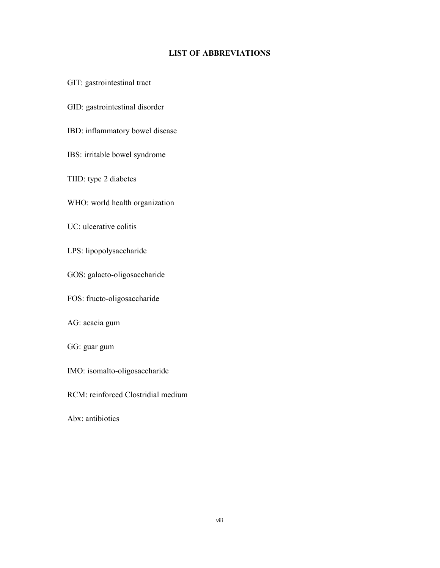# **LIST OF ABBREVIATIONS**

GIT: gastrointestinal tract

GID: gastrointestinal disorder

IBD: inflammatory bowel disease

IBS: irritable bowel syndrome

TIID: type 2 diabetes

WHO: world health organization

UC: ulcerative colitis

LPS: lipopolysaccharide

GOS: galacto-oligosaccharide

FOS: fructo-oligosaccharide

AG: acacia gum

GG: guar gum

IMO: isomalto-oligosaccharide

RCM: reinforced Clostridial medium

Abx: antibiotics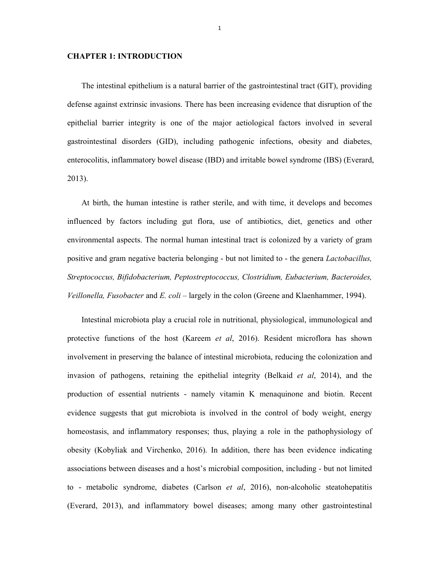# **CHAPTER 1: INTRODUCTION**

The intestinal epithelium is a natural barrier of the gastrointestinal tract (GIT), providing defense against extrinsic invasions. There has been increasing evidence that disruption of the epithelial barrier integrity is one of the major aetiological factors involved in several gastrointestinal disorders (GID), including pathogenic infections, obesity and diabetes, enterocolitis, inflammatory bowel disease (IBD) and irritable bowel syndrome (IBS) (Everard, 2013).

At birth, the human intestine is rather sterile, and with time, it develops and becomes influenced by factors including gut flora, use of antibiotics, diet, genetics and other environmental aspects. The normal human intestinal tract is colonized by a variety of gram positive and gram negative bacteria belonging - but not limited to - the genera *Lactobacillus, Streptococcus, Bifidobacterium, Peptostreptococcus, Clostridium, Eubacterium, Bacteroides, Veillonella, Fusobacter* and *E. coli* – largely in the colon (Greene and Klaenhammer, 1994).

Intestinal microbiota play a crucial role in nutritional, physiological, immunological and protective functions of the host (Kareem *et al*, 2016). Resident microflora has shown involvement in preserving the balance of intestinal microbiota, reducing the colonization and invasion of pathogens, retaining the epithelial integrity (Belkaid *et al*, 2014), and the production of essential nutrients - namely vitamin K menaquinone and biotin. Recent evidence suggests that gut microbiota is involved in the control of body weight, energy homeostasis, and inflammatory responses; thus, playing a role in the pathophysiology of obesity (Kobyliak and Virchenko, 2016). In addition, there has been evidence indicating associations between diseases and a host's microbial composition, including - but not limited to - metabolic syndrome, diabetes (Carlson *et al*, 2016), non-alcoholic steatohepatitis (Everard, 2013), and inflammatory bowel diseases; among many other gastrointestinal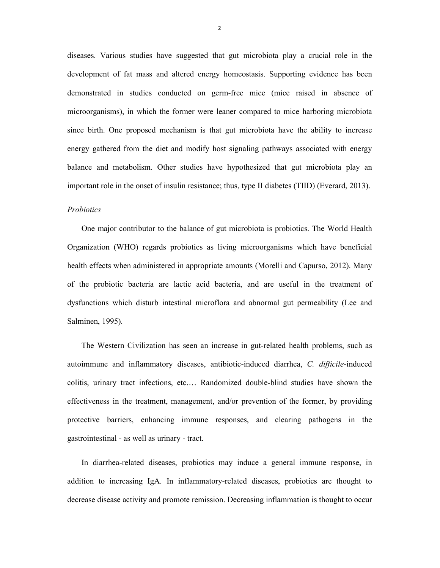diseases. Various studies have suggested that gut microbiota play a crucial role in the development of fat mass and altered energy homeostasis. Supporting evidence has been demonstrated in studies conducted on germ-free mice (mice raised in absence of microorganisms), in which the former were leaner compared to mice harboring microbiota since birth. One proposed mechanism is that gut microbiota have the ability to increase energy gathered from the diet and modify host signaling pathways associated with energy balance and metabolism. Other studies have hypothesized that gut microbiota play an important role in the onset of insulin resistance; thus, type II diabetes (TIID) (Everard, 2013).

# *Probiotics*

One major contributor to the balance of gut microbiota is probiotics. The World Health Organization (WHO) regards probiotics as living microorganisms which have beneficial health effects when administered in appropriate amounts (Morelli and Capurso, 2012). Many of the probiotic bacteria are lactic acid bacteria, and are useful in the treatment of dysfunctions which disturb intestinal microflora and abnormal gut permeability (Lee and Salminen, 1995).

The Western Civilization has seen an increase in gut-related health problems, such as autoimmune and inflammatory diseases, antibiotic-induced diarrhea, *C. difficile*-induced colitis, urinary tract infections, etc.… Randomized double-blind studies have shown the effectiveness in the treatment, management, and/or prevention of the former, by providing protective barriers, enhancing immune responses, and clearing pathogens in the gastrointestinal - as well as urinary - tract.

In diarrhea-related diseases, probiotics may induce a general immune response, in addition to increasing IgA. In inflammatory-related diseases, probiotics are thought to decrease disease activity and promote remission. Decreasing inflammation is thought to occur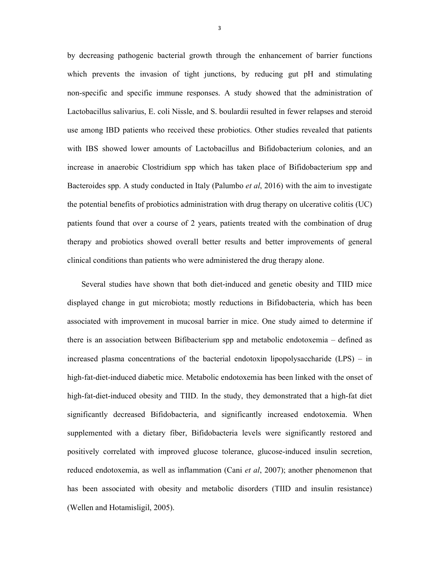by decreasing pathogenic bacterial growth through the enhancement of barrier functions which prevents the invasion of tight junctions, by reducing gut pH and stimulating non-specific and specific immune responses. A study showed that the administration of Lactobacillus salivarius, E. coli Nissle, and S. boulardii resulted in fewer relapses and steroid use among IBD patients who received these probiotics. Other studies revealed that patients with IBS showed lower amounts of Lactobacillus and Bifidobacterium colonies, and an increase in anaerobic Clostridium spp which has taken place of Bifidobacterium spp and Bacteroides spp. A study conducted in Italy (Palumbo *et al*, 2016) with the aim to investigate the potential benefits of probiotics administration with drug therapy on ulcerative colitis (UC) patients found that over a course of 2 years, patients treated with the combination of drug therapy and probiotics showed overall better results and better improvements of general clinical conditions than patients who were administered the drug therapy alone.

Several studies have shown that both diet-induced and genetic obesity and TIID mice displayed change in gut microbiota; mostly reductions in Bifidobacteria, which has been associated with improvement in mucosal barrier in mice. One study aimed to determine if there is an association between Bifibacterium spp and metabolic endotoxemia – defined as increased plasma concentrations of the bacterial endotoxin lipopolysaccharide (LPS) – in high-fat-diet-induced diabetic mice. Metabolic endotoxemia has been linked with the onset of high-fat-diet-induced obesity and TIID. In the study, they demonstrated that a high-fat diet significantly decreased Bifidobacteria, and significantly increased endotoxemia. When supplemented with a dietary fiber, Bifidobacteria levels were significantly restored and positively correlated with improved glucose tolerance, glucose-induced insulin secretion, reduced endotoxemia, as well as inflammation (Cani *et al*, 2007); another phenomenon that has been associated with obesity and metabolic disorders (TIID and insulin resistance) (Wellen and Hotamisligil, 2005).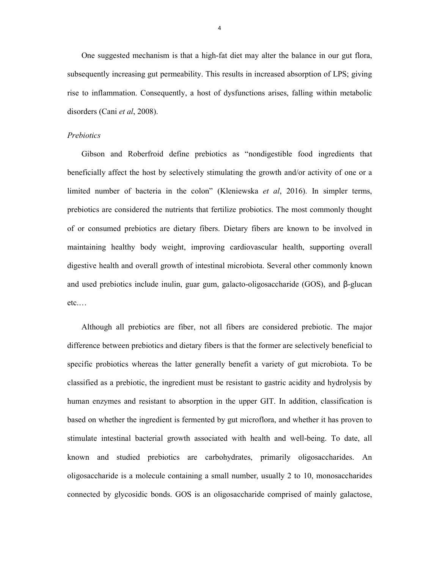One suggested mechanism is that a high-fat diet may alter the balance in our gut flora, subsequently increasing gut permeability. This results in increased absorption of LPS; giving rise to inflammation. Consequently, a host of dysfunctions arises, falling within metabolic disorders (Cani *et al*, 2008).

## *Prebiotics*

Gibson and Roberfroid define prebiotics as "nondigestible food ingredients that beneficially affect the host by selectively stimulating the growth and/or activity of one or a limited number of bacteria in the colon" (Kleniewska *et al*, 2016). In simpler terms, prebiotics are considered the nutrients that fertilize probiotics. The most commonly thought of or consumed prebiotics are dietary fibers. Dietary fibers are known to be involved in maintaining healthy body weight, improving cardiovascular health, supporting overall digestive health and overall growth of intestinal microbiota. Several other commonly known and used prebiotics include inulin, guar gum, galacto-oligosaccharide (GOS), and β-glucan etc.…

Although all prebiotics are fiber, not all fibers are considered prebiotic. The major difference between prebiotics and dietary fibers is that the former are selectively beneficial to specific probiotics whereas the latter generally benefit a variety of gut microbiota. To be classified as a prebiotic, the ingredient must be resistant to gastric acidity and hydrolysis by human enzymes and resistant to absorption in the upper GIT. In addition, classification is based on whether the ingredient is fermented by gut microflora, and whether it has proven to stimulate intestinal bacterial growth associated with health and well-being. To date, all known and studied prebiotics are carbohydrates, primarily oligosaccharides. An oligosaccharide is a molecule containing a small number, usually 2 to 10, monosaccharides connected by glycosidic bonds. GOS is an oligosaccharide comprised of mainly galactose,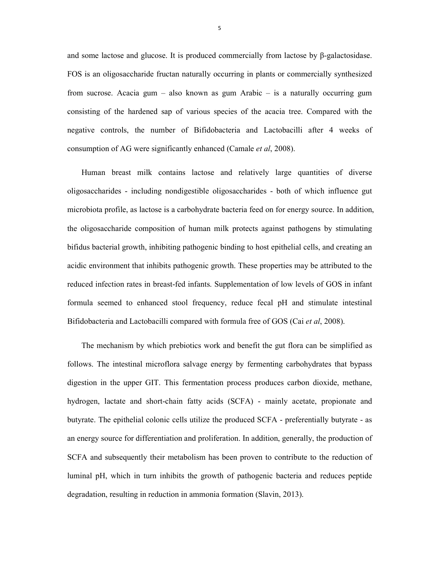and some lactose and glucose. It is produced commercially from lactose by β-galactosidase. FOS is an oligosaccharide fructan naturally occurring in plants or commercially synthesized from sucrose. Acacia gum – also known as gum Arabic – is a naturally occurring gum consisting of the hardened sap of various species of the acacia tree. Compared with the negative controls, the number of Bifidobacteria and Lactobacilli after 4 weeks of consumption of AG were significantly enhanced (Camale *et al*, 2008).

Human breast milk contains lactose and relatively large quantities of diverse oligosaccharides - including nondigestible oligosaccharides - both of which influence gut microbiota profile, as lactose is a carbohydrate bacteria feed on for energy source. In addition, the oligosaccharide composition of human milk protects against pathogens by stimulating bifidus bacterial growth, inhibiting pathogenic binding to host epithelial cells, and creating an acidic environment that inhibits pathogenic growth. These properties may be attributed to the reduced infection rates in breast-fed infants. Supplementation of low levels of GOS in infant formula seemed to enhanced stool frequency, reduce fecal pH and stimulate intestinal Bifidobacteria and Lactobacilli compared with formula free of GOS (Cai *et al*, 2008).

The mechanism by which prebiotics work and benefit the gut flora can be simplified as follows. The intestinal microflora salvage energy by fermenting carbohydrates that bypass digestion in the upper GIT. This fermentation process produces carbon dioxide, methane, hydrogen, lactate and short-chain fatty acids (SCFA) - mainly acetate, propionate and butyrate. The epithelial colonic cells utilize the produced SCFA - preferentially butyrate - as an energy source for differentiation and proliferation. In addition, generally, the production of SCFA and subsequently their metabolism has been proven to contribute to the reduction of luminal pH, which in turn inhibits the growth of pathogenic bacteria and reduces peptide degradation, resulting in reduction in ammonia formation (Slavin, 2013).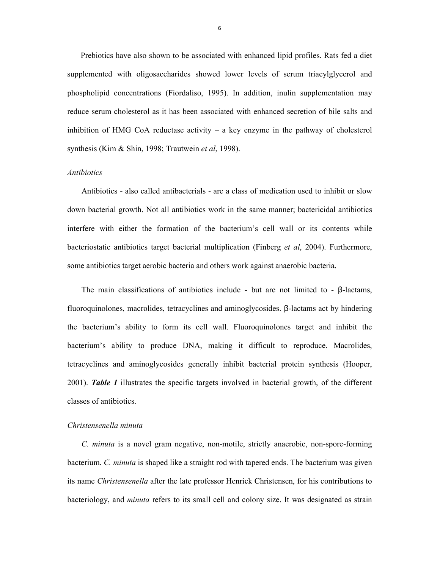Prebiotics have also shown to be associated with enhanced lipid profiles. Rats fed a diet supplemented with oligosaccharides showed lower levels of serum triacylglycerol and phospholipid concentrations (Fiordaliso, 1995). In addition, inulin supplementation may reduce serum cholesterol as it has been associated with enhanced secretion of bile salts and inhibition of HMG CoA reductase activity – a key enzyme in the pathway of cholesterol synthesis (Kim & Shin, 1998; Trautwein *et al*, 1998).

#### *Antibiotics*

Antibiotics - also called antibacterials - are a class of medication used to inhibit or slow down bacterial growth. Not all antibiotics work in the same manner; bactericidal antibiotics interfere with either the formation of the bacterium's cell wall or its contents while bacteriostatic antibiotics target bacterial multiplication (Finberg *et al*, 2004). Furthermore, some antibiotics target aerobic bacteria and others work against anaerobic bacteria.

The main classifications of antibiotics include - but are not limited to -  $\beta$ -lactams, fluoroquinolones, macrolides, tetracyclines and aminoglycosides. β-lactams act by hindering the bacterium's ability to form its cell wall. Fluoroquinolones target and inhibit the bacterium's ability to produce DNA, making it difficult to reproduce. Macrolides, tetracyclines and aminoglycosides generally inhibit bacterial protein synthesis (Hooper, 2001). *Table 1* illustrates the specific targets involved in bacterial growth, of the different classes of antibiotics.

# *Christensenella minuta*

*C. minuta* is a novel gram negative, non-motile, strictly anaerobic, non-spore-forming bacterium. *C. minuta* is shaped like a straight rod with tapered ends. The bacterium was given its name *Christensenella* after the late professor Henrick Christensen, for his contributions to bacteriology, and *minuta* refers to its small cell and colony size. It was designated as strain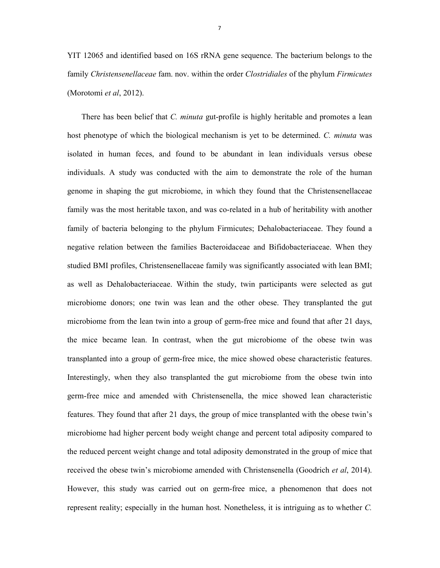YIT 12065 and identified based on 16S rRNA gene sequence. The bacterium belongs to the family *Christensenellaceae* fam. nov. within the order *Clostridiales* of the phylum *Firmicutes* (Morotomi *et al*, 2012).

There has been belief that *C. minuta* gut-profile is highly heritable and promotes a lean host phenotype of which the biological mechanism is yet to be determined. *C. minuta* was isolated in human feces, and found to be abundant in lean individuals versus obese individuals. A study was conducted with the aim to demonstrate the role of the human genome in shaping the gut microbiome, in which they found that the Christensenellaceae family was the most heritable taxon, and was co-related in a hub of heritability with another family of bacteria belonging to the phylum Firmicutes; Dehalobacteriaceae. They found a negative relation between the families Bacteroidaceae and Bifidobacteriaceae. When they studied BMI profiles, Christensenellaceae family was significantly associated with lean BMI; as well as Dehalobacteriaceae. Within the study, twin participants were selected as gut microbiome donors; one twin was lean and the other obese. They transplanted the gut microbiome from the lean twin into a group of germ-free mice and found that after 21 days, the mice became lean. In contrast, when the gut microbiome of the obese twin was transplanted into a group of germ-free mice, the mice showed obese characteristic features. Interestingly, when they also transplanted the gut microbiome from the obese twin into germ-free mice and amended with Christensenella, the mice showed lean characteristic features. They found that after 21 days, the group of mice transplanted with the obese twin's microbiome had higher percent body weight change and percent total adiposity compared to the reduced percent weight change and total adiposity demonstrated in the group of mice that received the obese twin's microbiome amended with Christensenella (Goodrich *et al*, 2014). However, this study was carried out on germ-free mice, a phenomenon that does not represent reality; especially in the human host. Nonetheless, it is intriguing as to whether *C.*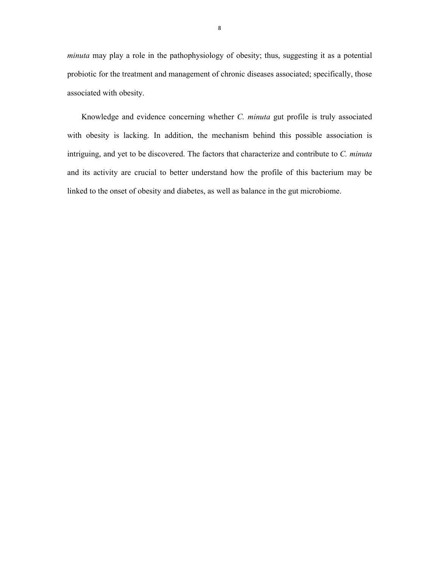*minuta* may play a role in the pathophysiology of obesity; thus, suggesting it as a potential probiotic for the treatment and management of chronic diseases associated; specifically, those associated with obesity.

 Knowledge and evidence concerning whether *C. minuta* gut profile is truly associated with obesity is lacking. In addition, the mechanism behind this possible association is intriguing, and yet to be discovered. The factors that characterize and contribute to *C. minuta* and its activity are crucial to better understand how the profile of this bacterium may be linked to the onset of obesity and diabetes, as well as balance in the gut microbiome.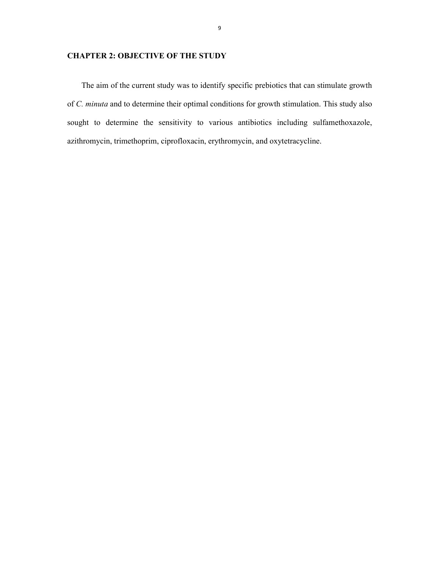# **CHAPTER 2: OBJECTIVE OF THE STUDY**

The aim of the current study was to identify specific prebiotics that can stimulate growth of *C. minuta* and to determine their optimal conditions for growth stimulation. This study also sought to determine the sensitivity to various antibiotics including sulfamethoxazole, azithromycin, trimethoprim, ciprofloxacin, erythromycin, and oxytetracycline.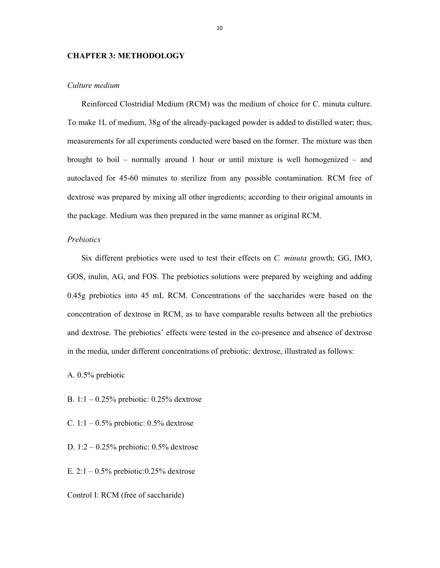# **CHAPTER 3: METHODOLOGY**

#### *Culture medium*

Reinforced Clostridial Medium (RCM) was the medium of choice for C. minuta culture. To make 1L of medium, 38g of the already-packaged powder is added to distilled water; thus, measurements for all experiments conducted were based on the former. The mixture was then brought to boil – normally around 1 hour or until mixture is well homogenized – and autoclaved for 45-60 minutes to sterilize from any possible contamination. RCM free of dextrose was prepared by mixing all other ingredients; according to their original amounts in the package. Medium was then prepared in the same manner as original RCM.

# *Prebiotics*

Six different prebiotics were used to test their effects on *C. minuta* growth; GG, IMO, GOS, inulin, AG, and FOS. The prebiotics solutions were prepared by weighing and adding 0.45g prebiotics into 45 mL RCM. Concentrations of the saccharides were based on the concentration of dextrose in RCM, as to have comparable results between all the prebiotics and dextrose. The prebiotics' effects were tested in the co-presence and absence of dextrose in the media, under different concentrations of prebiotic: dextrose, illustrated as follows:

A. 0.5% prebiotic

B. 1:1 – 0.25% prebiotic: 0.25% dextrose

C.  $1:1 - 0.5\%$  prebiotic: 0.5% dextrose

D. 1:2 – 0.25% prebiotic: 0.5% dextrose

E.  $2:1 - 0.5\%$  prebiotic: 0.25% dextrose

Control I: RCM (free of saccharide)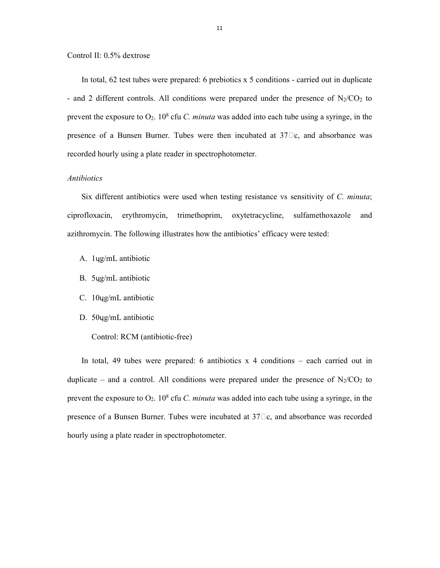## Control II: 0.5% dextrose

In total, 62 test tubes were prepared: 6 prebiotics x 5 conditions - carried out in duplicate - and 2 different controls. All conditions were prepared under the presence of  $N_2/CO_2$  to prevent the exposure to  $O_2$ . 10<sup>8</sup> cfu *C. minuta* was added into each tube using a syringe, in the presence of a Bunsen Burner. Tubes were then incubated at  $37\square$ c, and absorbance was recorded hourly using a plate reader in spectrophotometer.

# *Antibiotics*

Six different antibiotics were used when testing resistance vs sensitivity of *C. minuta*; ciprofloxacin, erythromycin, trimethoprim, oxytetracycline, sulfamethoxazole and azithromycin. The following illustrates how the antibiotics' efficacy were tested:

- A. 1ɥg/mL antibiotic
- B. 5ɥg/mL antibiotic
- C. 10ɥg/mL antibiotic
- D. 50ɥg/mL antibiotic
	- Control: RCM (antibiotic-free)

 In total, 49 tubes were prepared: 6 antibiotics x 4 conditions – each carried out in duplicate – and a control. All conditions were prepared under the presence of  $N_2/CO_2$  to prevent the exposure to  $O_2$ . 10<sup>8</sup> cfu *C. minuta* was added into each tube using a syringe, in the presence of a Bunsen Burner. Tubes were incubated at  $37\Box$ c, and absorbance was recorded hourly using a plate reader in spectrophotometer.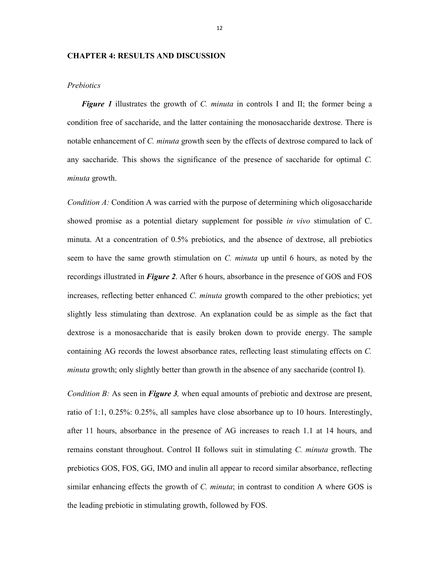# **CHAPTER 4: RESULTS AND DISCUSSION**

#### *Prebiotics*

*Figure 1* illustrates the growth of *C. minuta* in controls I and II; the former being a condition free of saccharide, and the latter containing the monosaccharide dextrose. There is notable enhancement of *C. minuta* growth seen by the effects of dextrose compared to lack of any saccharide. This shows the significance of the presence of saccharide for optimal *C. minuta* growth.

*Condition A:* Condition A was carried with the purpose of determining which oligosaccharide showed promise as a potential dietary supplement for possible *in vivo* stimulation of C. minuta. At a concentration of 0.5% prebiotics, and the absence of dextrose, all prebiotics seem to have the same growth stimulation on *C. minuta* up until 6 hours, as noted by the recordings illustrated in *Figure 2*. After 6 hours, absorbance in the presence of GOS and FOS increases, reflecting better enhanced *C. minuta* growth compared to the other prebiotics; yet slightly less stimulating than dextrose. An explanation could be as simple as the fact that dextrose is a monosaccharide that is easily broken down to provide energy. The sample containing AG records the lowest absorbance rates, reflecting least stimulating effects on *C. minuta* growth; only slightly better than growth in the absence of any saccharide (control I).

*Condition B:* As seen in *Figure 3*, when equal amounts of prebiotic and dextrose are present, ratio of 1:1, 0.25%: 0.25%, all samples have close absorbance up to 10 hours. Interestingly, after 11 hours, absorbance in the presence of AG increases to reach 1.1 at 14 hours, and remains constant throughout. Control II follows suit in stimulating *C. minuta* growth. The prebiotics GOS, FOS, GG, IMO and inulin all appear to record similar absorbance, reflecting similar enhancing effects the growth of *C. minuta*; in contrast to condition A where GOS is the leading prebiotic in stimulating growth, followed by FOS.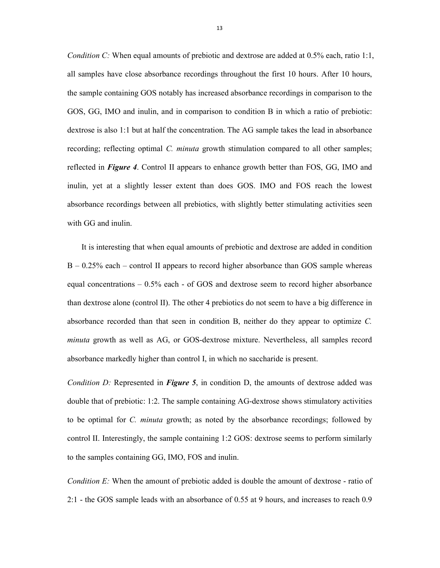*Condition C:* When equal amounts of prebiotic and dextrose are added at 0.5% each, ratio 1:1, all samples have close absorbance recordings throughout the first 10 hours. After 10 hours, the sample containing GOS notably has increased absorbance recordings in comparison to the GOS, GG, IMO and inulin, and in comparison to condition B in which a ratio of prebiotic: dextrose is also 1:1 but at half the concentration. The AG sample takes the lead in absorbance recording; reflecting optimal *C. minuta* growth stimulation compared to all other samples; reflected in *Figure 4*. Control II appears to enhance growth better than FOS, GG, IMO and inulin, yet at a slightly lesser extent than does GOS. IMO and FOS reach the lowest absorbance recordings between all prebiotics, with slightly better stimulating activities seen with GG and inulin.

 It is interesting that when equal amounts of prebiotic and dextrose are added in condition  $B - 0.25\%$  each – control II appears to record higher absorbance than GOS sample whereas equal concentrations – 0.5% each - of GOS and dextrose seem to record higher absorbance than dextrose alone (control II). The other 4 prebiotics do not seem to have a big difference in absorbance recorded than that seen in condition B, neither do they appear to optimize *C. minuta* growth as well as AG, or GOS-dextrose mixture. Nevertheless, all samples record absorbance markedly higher than control I, in which no saccharide is present.

*Condition D:* Represented in *Figure 5*, in condition D, the amounts of dextrose added was double that of prebiotic: 1:2. The sample containing AG-dextrose shows stimulatory activities to be optimal for *C. minuta* growth; as noted by the absorbance recordings; followed by control II. Interestingly, the sample containing 1:2 GOS: dextrose seems to perform similarly to the samples containing GG, IMO, FOS and inulin.

*Condition E:* When the amount of prebiotic added is double the amount of dextrose - ratio of 2:1 - the GOS sample leads with an absorbance of 0.55 at 9 hours, and increases to reach 0.9

13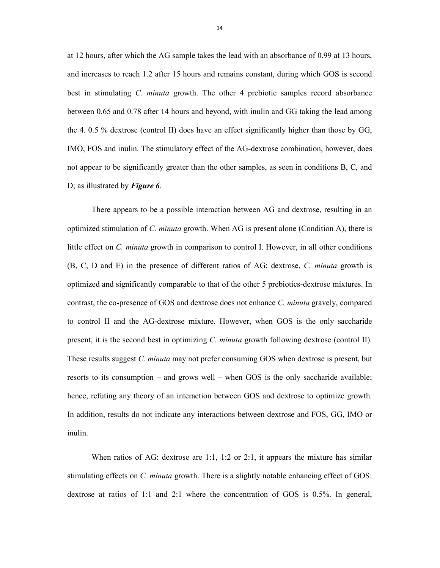at 12 hours, after which the AG sample takes the lead with an absorbance of 0.99 at 13 hours, and increases to reach 1.2 after 15 hours and remains constant, during which GOS is second best in stimulating *C. minuta* growth. The other 4 prebiotic samples record absorbance between 0.65 and 0.78 after 14 hours and beyond, with inulin and GG taking the lead among the 4. 0.5 % dextrose (control II) does have an effect significantly higher than those by GG, IMO, FOS and inulin. The stimulatory effect of the AG-dextrose combination, however, does not appear to be significantly greater than the other samples, as seen in conditions B, C, and D; as illustrated by *Figure 6*.

There appears to be a possible interaction between AG and dextrose, resulting in an optimized stimulation of *C. minuta* growth. When AG is present alone (Condition A), there is little effect on *C. minuta* growth in comparison to control I. However, in all other conditions (B, C, D and E) in the presence of different ratios of AG: dextrose, *C. minuta* growth is optimized and significantly comparable to that of the other 5 prebiotics-dextrose mixtures. In contrast, the co-presence of GOS and dextrose does not enhance *C. minuta* gravely, compared to control II and the AG-dextrose mixture. However, when GOS is the only saccharide present, it is the second best in optimizing *C. minuta* growth following dextrose (control II). These results suggest *C. minuta* may not prefer consuming GOS when dextrose is present, but resorts to its consumption – and grows well – when GOS is the only saccharide available; hence, refuting any theory of an interaction between GOS and dextrose to optimize growth. In addition, results do not indicate any interactions between dextrose and FOS, GG, IMO or inulin.

When ratios of AG: dextrose are 1:1, 1:2 or 2:1, it appears the mixture has similar stimulating effects on *C. minuta* growth. There is a slightly notable enhancing effect of GOS: dextrose at ratios of 1:1 and 2:1 where the concentration of GOS is 0.5%. In general,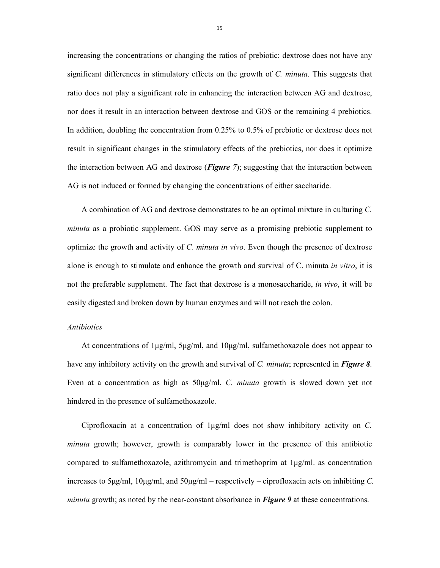increasing the concentrations or changing the ratios of prebiotic: dextrose does not have any significant differences in stimulatory effects on the growth of *C. minuta*. This suggests that ratio does not play a significant role in enhancing the interaction between AG and dextrose, nor does it result in an interaction between dextrose and GOS or the remaining 4 prebiotics. In addition, doubling the concentration from 0.25% to 0.5% of prebiotic or dextrose does not result in significant changes in the stimulatory effects of the prebiotics, nor does it optimize the interaction between AG and dextrose (*Figure 7*); suggesting that the interaction between AG is not induced or formed by changing the concentrations of either saccharide.

 A combination of AG and dextrose demonstrates to be an optimal mixture in culturing *C. minuta* as a probiotic supplement. GOS may serve as a promising prebiotic supplement to optimize the growth and activity of *C. minuta in vivo*. Even though the presence of dextrose alone is enough to stimulate and enhance the growth and survival of C. minuta *in vitro*, it is not the preferable supplement. The fact that dextrose is a monosaccharide, *in vivo*, it will be easily digested and broken down by human enzymes and will not reach the colon.

# *Antibiotics*

 At concentrations of 1μg/ml, 5μg/ml, and 10μg/ml, sulfamethoxazole does not appear to have any inhibitory activity on the growth and survival of *C. minuta*; represented in *Figure 8*. Even at a concentration as high as 50μg/ml, *C. minuta* growth is slowed down yet not hindered in the presence of sulfamethoxazole.

 Ciprofloxacin at a concentration of 1μg/ml does not show inhibitory activity on *C. minuta* growth; however, growth is comparably lower in the presence of this antibiotic compared to sulfamethoxazole, azithromycin and trimethoprim at 1μg/ml. as concentration increases to 5μg/ml, 10μg/ml, and 50μg/ml – respectively – ciprofloxacin acts on inhibiting *C. minuta* growth; as noted by the near-constant absorbance in *Figure 9* at these concentrations.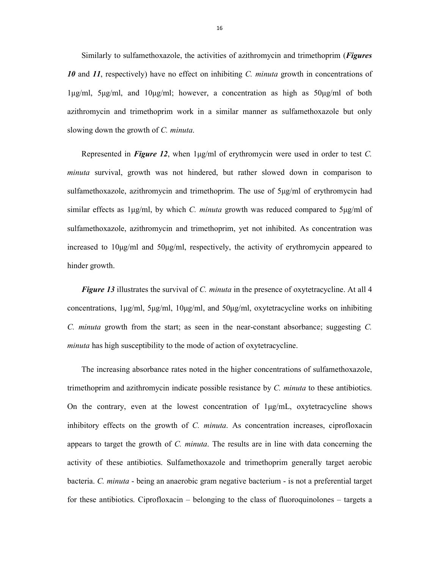Similarly to sulfamethoxazole, the activities of azithromycin and trimethoprim (*Figures 10* and *11*, respectively) have no effect on inhibiting *C. minuta* growth in concentrations of 1μg/ml, 5μg/ml, and 10μg/ml; however, a concentration as high as 50μg/ml of both azithromycin and trimethoprim work in a similar manner as sulfamethoxazole but only slowing down the growth of *C. minuta*.

Represented in *Figure 12*, when 1μg/ml of erythromycin were used in order to test *C. minuta* survival, growth was not hindered, but rather slowed down in comparison to sulfamethoxazole, azithromycin and trimethoprim. The use of 5μg/ml of erythromycin had similar effects as 1μg/ml, by which *C. minuta* growth was reduced compared to 5μg/ml of sulfamethoxazole, azithromycin and trimethoprim, yet not inhibited. As concentration was increased to 10μg/ml and 50μg/ml, respectively, the activity of erythromycin appeared to hinder growth.

*Figure 13* illustrates the survival of *C. minuta* in the presence of oxytetracycline. At all 4 concentrations, 1μg/ml, 5μg/ml, 10μg/ml, and 50μg/ml, oxytetracycline works on inhibiting *C. minuta* growth from the start; as seen in the near-constant absorbance; suggesting *C. minuta* has high susceptibility to the mode of action of oxytetracycline.

 The increasing absorbance rates noted in the higher concentrations of sulfamethoxazole, trimethoprim and azithromycin indicate possible resistance by *C. minuta* to these antibiotics. On the contrary, even at the lowest concentration of  $1\mu\text{g/mL}$ , oxytetracycline shows inhibitory effects on the growth of *C. minuta*. As concentration increases, ciprofloxacin appears to target the growth of *C. minuta*. The results are in line with data concerning the activity of these antibiotics. Sulfamethoxazole and trimethoprim generally target aerobic bacteria. *C. minuta* - being an anaerobic gram negative bacterium - is not a preferential target for these antibiotics. Ciprofloxacin – belonging to the class of fluoroquinolones – targets a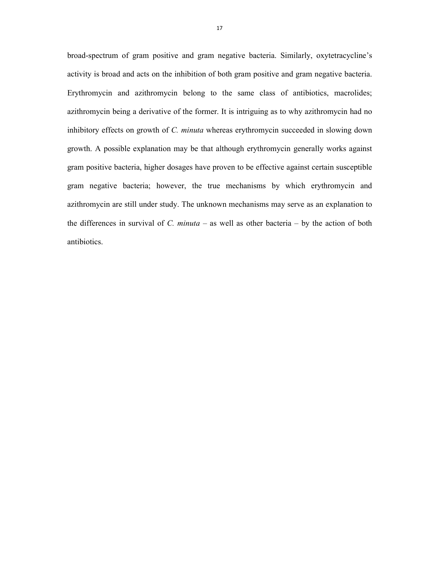broad-spectrum of gram positive and gram negative bacteria. Similarly, oxytetracycline's activity is broad and acts on the inhibition of both gram positive and gram negative bacteria. Erythromycin and azithromycin belong to the same class of antibiotics, macrolides; azithromycin being a derivative of the former. It is intriguing as to why azithromycin had no inhibitory effects on growth of *C. minuta* whereas erythromycin succeeded in slowing down growth. A possible explanation may be that although erythromycin generally works against gram positive bacteria, higher dosages have proven to be effective against certain susceptible gram negative bacteria; however, the true mechanisms by which erythromycin and azithromycin are still under study. The unknown mechanisms may serve as an explanation to the differences in survival of *C. minuta* – as well as other bacteria – by the action of both antibiotics.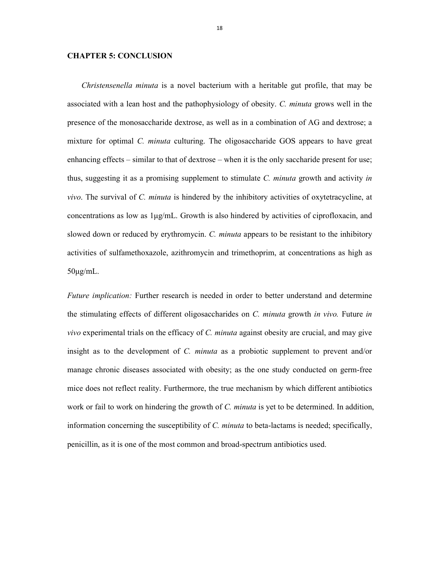# **CHAPTER 5: CONCLUSION**

*Christensenella minuta* is a novel bacterium with a heritable gut profile, that may be associated with a lean host and the pathophysiology of obesity. *C. minuta* grows well in the presence of the monosaccharide dextrose, as well as in a combination of AG and dextrose; a mixture for optimal *C. minuta* culturing. The oligosaccharide GOS appears to have great enhancing effects – similar to that of dextrose – when it is the only saccharide present for use; thus, suggesting it as a promising supplement to stimulate *C. minuta* growth and activity *in vivo*. The survival of *C. minuta* is hindered by the inhibitory activities of oxytetracycline, at concentrations as low as 1μg/mL. Growth is also hindered by activities of ciprofloxacin, and slowed down or reduced by erythromycin. *C. minuta* appears to be resistant to the inhibitory activities of sulfamethoxazole, azithromycin and trimethoprim, at concentrations as high as 50μg/mL.

*Future implication:* Further research is needed in order to better understand and determine the stimulating effects of different oligosaccharides on *C. minuta* growth *in vivo.* Future *in vivo* experimental trials on the efficacy of *C. minuta* against obesity are crucial, and may give insight as to the development of *C. minuta* as a probiotic supplement to prevent and/or manage chronic diseases associated with obesity; as the one study conducted on germ-free mice does not reflect reality. Furthermore, the true mechanism by which different antibiotics work or fail to work on hindering the growth of *C. minuta* is yet to be determined. In addition, information concerning the susceptibility of *C. minuta* to beta-lactams is needed; specifically, penicillin, as it is one of the most common and broad-spectrum antibiotics used.

18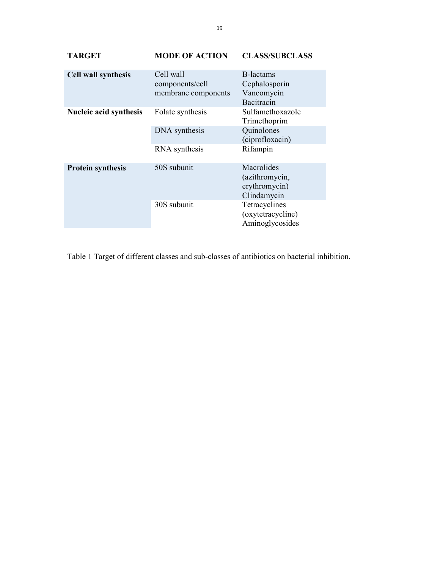| <b>TARGET</b>              | <b>MODE OF ACTION</b>                               | <b>CLASS/SUBCLASS</b>                                                                                                 |
|----------------------------|-----------------------------------------------------|-----------------------------------------------------------------------------------------------------------------------|
| <b>Cell wall synthesis</b> | Cell wall<br>components/cell<br>membrane components | B-lactams<br>Cephalosporin<br>Vancomycin<br>Bacitracin                                                                |
| Nucleic acid synthesis     | Folate synthesis<br>DNA synthesis<br>RNA synthesis  | Sulfamethoxazole<br>Trimethoprim<br>Quinolones<br>(ciprofloxacin)<br>Rifampin                                         |
| <b>Protein synthesis</b>   | 50S subunit<br>30S subunit                          | Macrolides<br>(azithromycin,<br>erythromycin)<br>Clindamycin<br>Tetracyclines<br>(oxytetracycline)<br>Aminoglycosides |

Table 1 Target of different classes and sub-classes of antibiotics on bacterial inhibition.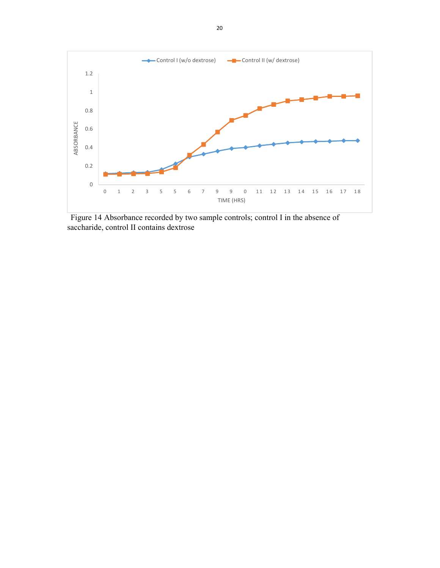

Figure 14 Absorbance recorded by two sample controls; control I in the absence of saccharide, control II contains dextrose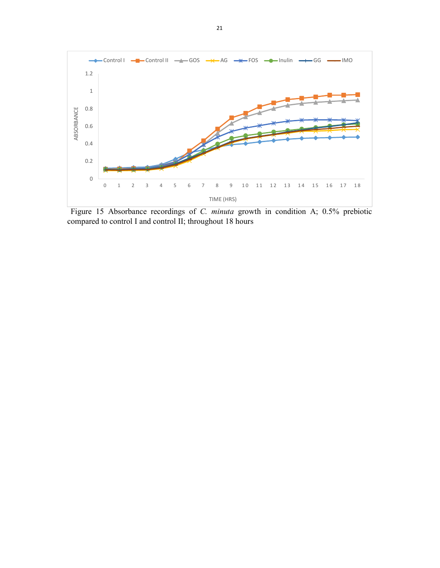

Figure 15 Absorbance recordings of *C. minuta* growth in condition A; 0.5% prebiotic compared to control I and control II; throughout 18 hours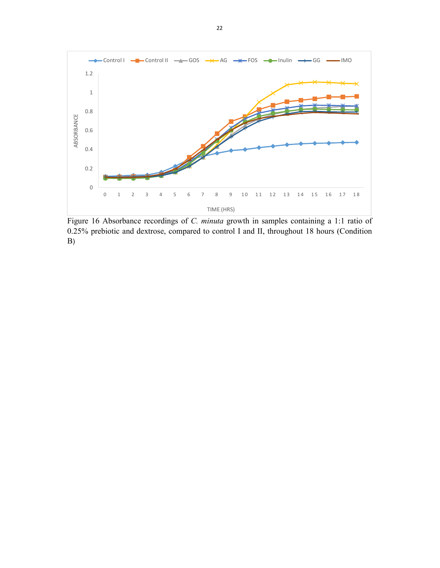

Figure 16 Absorbance recordings of *C. minuta* growth in samples containing a 1:1 ratio of 0.25% prebiotic and dextrose, compared to control I and II, throughout 18 hours (Condition B)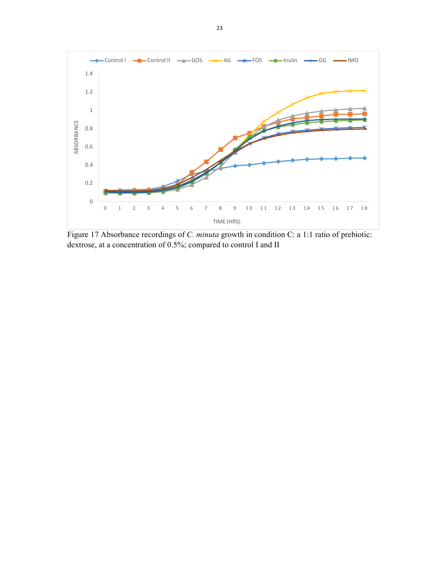

Figure 17 Absorbance recordings of *C. minuta* growth in condition C: a 1:1 ratio of prebiotic: dextrose, at a concentration of 0.5%; compared to control I and II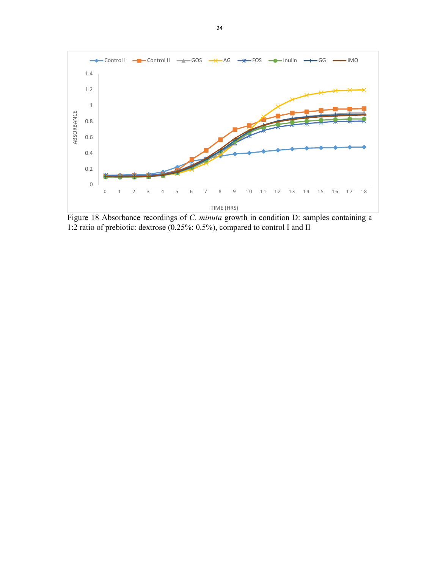

Figure 18 Absorbance recordings of *C. minuta* growth in condition D: samples containing a 1:2 ratio of prebiotic: dextrose (0.25%: 0.5%), compared to control I and II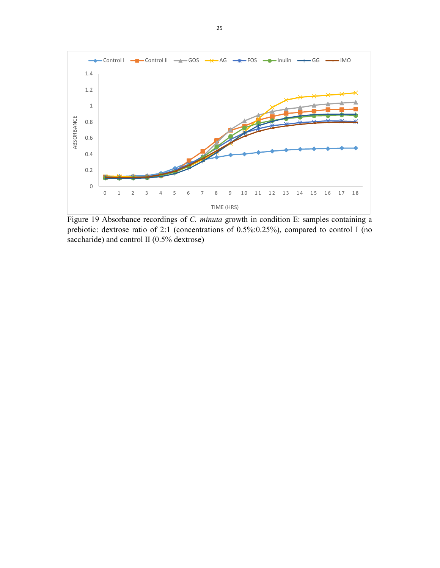

Figure 19 Absorbance recordings of *C. minuta* growth in condition E: samples containing a prebiotic: dextrose ratio of 2:1 (concentrations of 0.5%:0.25%), compared to control I (no saccharide) and control II (0.5% dextrose)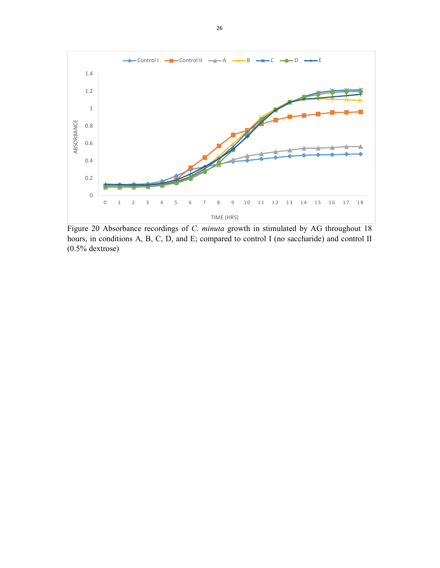

Figure 20 Absorbance recordings of *C. minuta* growth in stimulated by AG throughout 18 hours, in conditions A, B, C, D, and E; compared to control I (no saccharide) and control II (0.5% dextrose)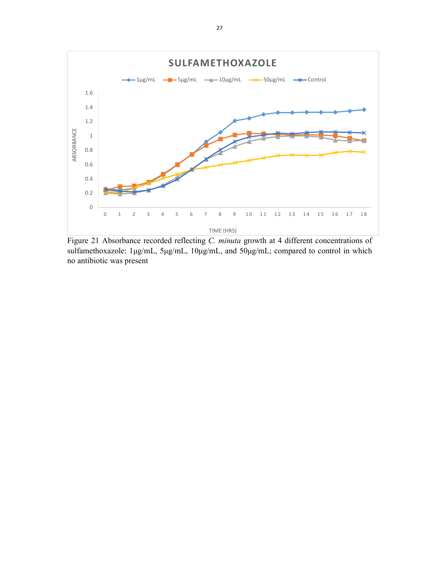

Figure 21 Absorbance recorded reflecting *C. minuta* growth at 4 different concentrations of sulfamethoxazole: 1μg/mL, 5μg/mL, 10μg/mL, and 50μg/mL; compared to control in which no antibiotic was present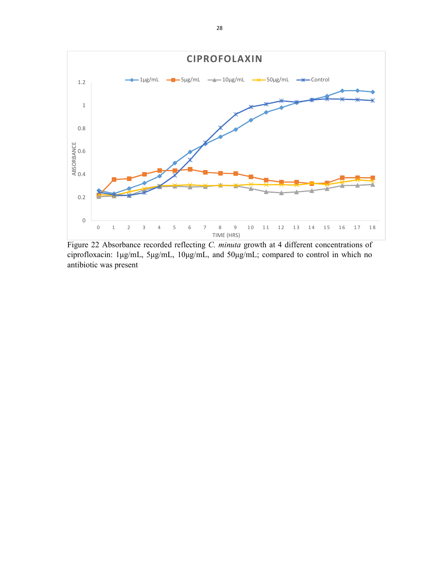

Figure 22 Absorbance recorded reflecting *C. minuta* growth at 4 different concentrations of ciprofloxacin: 1μg/mL, 5μg/mL, 10μg/mL, and 50μg/mL; compared to control in which no antibiotic was present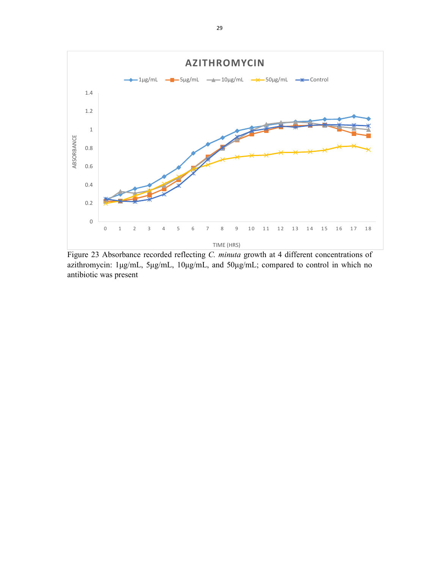

Figure 23 Absorbance recorded reflecting *C. minuta* growth at 4 different concentrations of azithromycin: 1μg/mL, 5μg/mL, 10μg/mL, and 50μg/mL; compared to control in which no antibiotic was present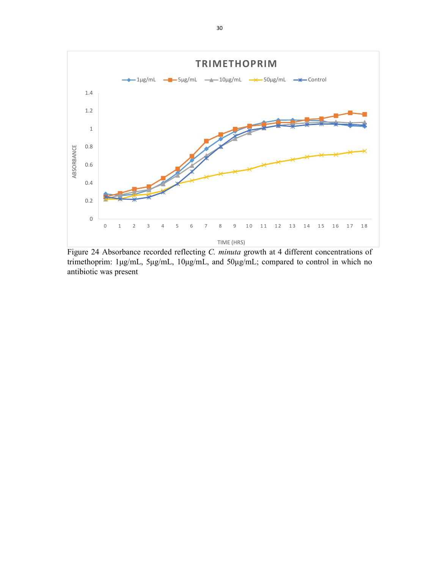

Figure 24 Absorbance recorded reflecting *C. minuta* growth at 4 different concentrations of trimethoprim: 1μg/mL, 5μg/mL, 10μg/mL, and 50μg/mL; compared to control in which no antibiotic was present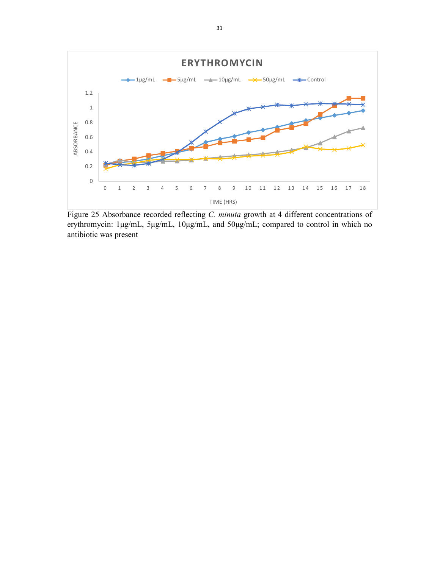

Figure 25 Absorbance recorded reflecting *C. minuta* growth at 4 different concentrations of erythromycin: 1μg/mL, 5μg/mL, 10μg/mL, and 50μg/mL; compared to control in which no antibiotic was present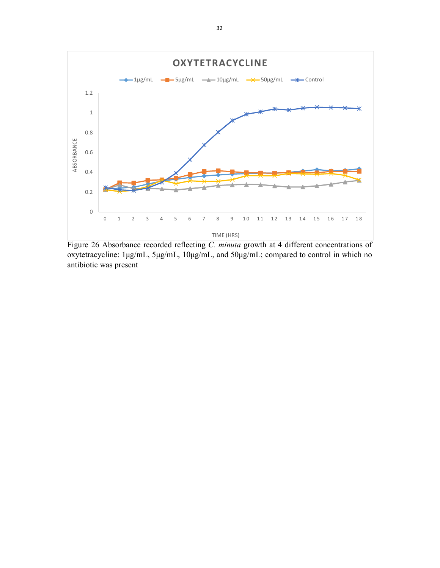

Figure 26 Absorbance recorded reflecting *C. minuta* growth at 4 different concentrations of oxytetracycline: 1μg/mL, 5μg/mL, 10μg/mL, and 50μg/mL; compared to control in which no antibiotic was present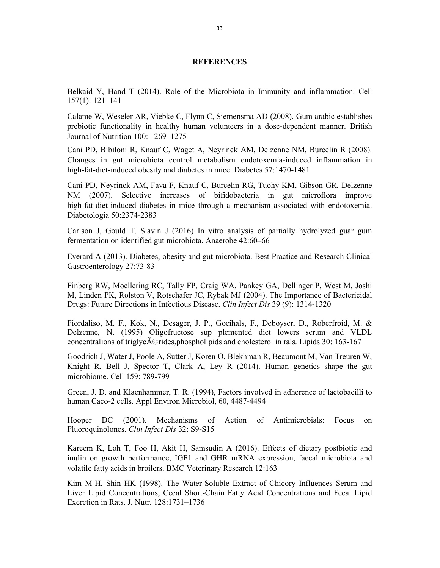#### **REFERENCES**

Belkaid Y, Hand T (2014). Role of the Microbiota in Immunity and inflammation. Cell 157(1): 121–141

Calame W, Weseler AR, Viebke C, Flynn C, Siemensma AD (2008). Gum arabic establishes prebiotic functionality in healthy human volunteers in a dose-dependent manner. British Journal of Nutrition 100: 1269–1275

Cani PD, Bibiloni R, Knauf C, Waget A, Neyrinck AM, Delzenne NM, Burcelin R (2008). Changes in gut microbiota control metabolism endotoxemia-induced inflammation in high-fat-diet-induced obesity and diabetes in mice. Diabetes 57:1470-1481

Cani PD, Neyrinck AM, Fava F, Knauf C, Burcelin RG, Tuohy KM, Gibson GR, Delzenne NM (2007). Selective increases of bifidobacteria in gut microflora improve high-fat-diet-induced diabetes in mice through a mechanism associated with endotoxemia. Diabetologia 50:2374-2383

Carlson J, Gould T, Slavin J (2016) In vitro analysis of partially hydrolyzed guar gum fermentation on identified gut microbiota. Anaerobe 42:60–66

Everard A (2013). Diabetes, obesity and gut microbiota. Best Practice and Research Clinical Gastroenterology 27:73-83

Finberg RW, Moellering RC, Tally FP, Craig WA, Pankey GA, Dellinger P, West M, Joshi M, Linden PK, Rolston V, Rotschafer JC, Rybak MJ (2004). The Importance of Bactericidal Drugs: Future Directions in Infectious Disease. *Clin Infect Dis* 39 (9): 1314-1320

Fiordaliso, M. F., Kok, N., Desager, J. P., Goeihals, F., Deboyser, D., Roberfroid, M. & Delzenne, N. (1995) Oligofructose sup plemented diet lowers serum and VLDL concentralions of triglyc $\tilde{A}$ ©rides,phospholipids and cholesterol in rals. Lipids 30: 163-167

Goodrich J, Water J, Poole A, Sutter J, Koren O, Blekhman R, Beaumont M, Van Treuren W, Knight R, Bell J, Spector T, Clark A, Ley R (2014). Human genetics shape the gut microbiome. Cell 159: 789-799

Green, J. D. and Klaenhammer, T. R. (1994), Factors involved in adherence of lactobacilli to human Caco-2 cells. Appl Environ Microbiol, 60, 4487-4494

Hooper DC (2001). Mechanisms of Action of Antimicrobials: Focus on Fluoroquinolones. *Clin Infect Dis* 32: S9-S15

Kareem K, Loh T, Foo H, Akit H, Samsudin A (2016). Effects of dietary postbiotic and inulin on growth performance, IGF1 and GHR mRNA expression, faecal microbiota and volatile fatty acids in broilers. BMC Veterinary Research 12:163

Kim M-H, Shin HK (1998). The Water-Soluble Extract of Chicory Influences Serum and Liver Lipid Concentrations, Cecal Short-Chain Fatty Acid Concentrations and Fecal Lipid Excretion in Rats. J. Nutr. 128:1731–1736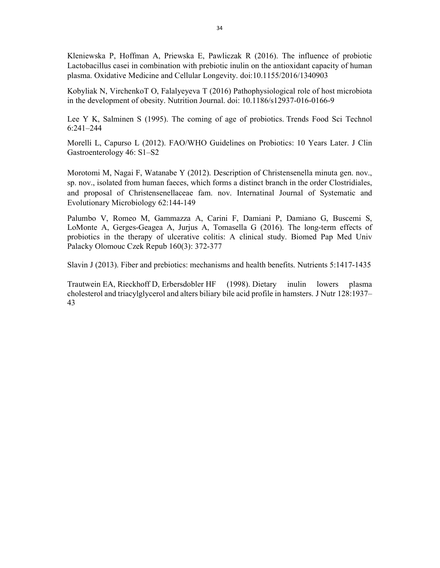Kleniewska P, Hoffman A, Priewska E, Pawliczak R (2016). The influence of probiotic Lactobacillus casei in combination with prebiotic inulin on the antioxidant capacity of human plasma. Oxidative Medicine and Cellular Longevity. doi:10.1155/2016/1340903

Kobyliak N, VirchenkoT O, Falalyeyeva T (2016) Pathophysiological role of host microbiota in the development of obesity. Nutrition Journal. doi: 10.1186/s12937-016-0166-9

Lee Y K, Salminen S (1995). The coming of age of probiotics. Trends Food Sci Technol 6:241–244

Morelli L, Capurso L (2012). FAO/WHO Guidelines on Probiotics: 10 Years Later. J Clin Gastroenterology 46: S1–S2

Morotomi M, Nagai F, Watanabe Y (2012). Description of Christensenella minuta gen. nov., sp. nov., isolated from human faeces, which forms a distinct branch in the order Clostridiales, and proposal of Christensenellaceae fam. nov. Internatinal Journal of Systematic and Evolutionary Microbiology 62:144-149

Palumbo V, Romeo M, Gammazza A, Carini F, Damiani P, Damiano G, Buscemi S, LoMonte A, Gerges-Geagea A, Jurjus A, Tomasella G (2016). The long-term effects of probiotics in the therapy of ulcerative colitis: A clinical study. Biomed Pap Med Univ Palacky Olomouc Czek Repub 160(3): 372-377

Slavin J (2013). Fiber and prebiotics: mechanisms and health benefits. Nutrients 5:1417-1435

Trautwein EA, Rieckhoff D, Erbersdobler HF (1998). Dietary inulin lowers plasma cholesterol and triacylglycerol and alters biliary bile acid profile in hamsters. J Nutr 128:1937– 43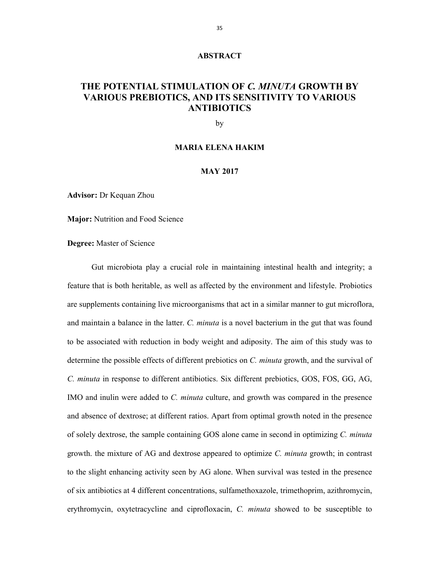# **ABSTRACT**

# **THE POTENTIAL STIMULATION OF** *C. MINUTA* **GROWTH BY VARIOUS PREBIOTICS, AND ITS SENSITIVITY TO VARIOUS ANTIBIOTICS**

by

#### **MARIA ELENA HAKIM**

# **MAY 2017**

**Advisor:** Dr Kequan Zhou

**Major:** Nutrition and Food Science

**Degree:** Master of Science

Gut microbiota play a crucial role in maintaining intestinal health and integrity; a feature that is both heritable, as well as affected by the environment and lifestyle. Probiotics are supplements containing live microorganisms that act in a similar manner to gut microflora, and maintain a balance in the latter. *C. minuta* is a novel bacterium in the gut that was found to be associated with reduction in body weight and adiposity. The aim of this study was to determine the possible effects of different prebiotics on *C. minuta* growth, and the survival of *C. minuta* in response to different antibiotics. Six different prebiotics, GOS, FOS, GG, AG, IMO and inulin were added to *C. minuta* culture, and growth was compared in the presence and absence of dextrose; at different ratios. Apart from optimal growth noted in the presence of solely dextrose, the sample containing GOS alone came in second in optimizing *C. minuta* growth. the mixture of AG and dextrose appeared to optimize *C. minuta* growth; in contrast to the slight enhancing activity seen by AG alone. When survival was tested in the presence of six antibiotics at 4 different concentrations, sulfamethoxazole, trimethoprim, azithromycin, erythromycin, oxytetracycline and ciprofloxacin, *C. minuta* showed to be susceptible to